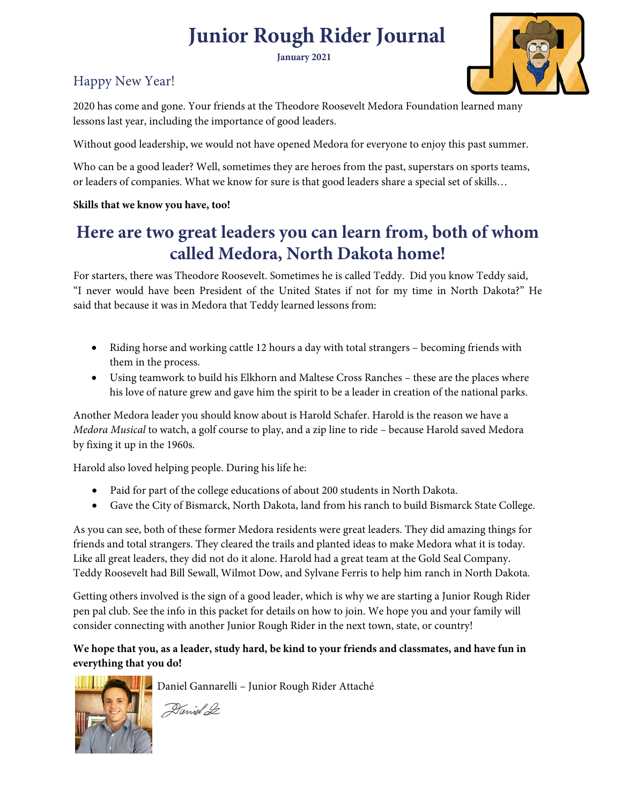# **Junior Rough Rider Journal**

**January 2021**

### Happy New Year!

2020 has come and gone. Your friends at the Theodore Roosevelt Medora Foundation learned many lessons last year, including the importance of good leaders.

Without good leadership, we would not have opened Medora for everyone to enjoy this past summer.

Who can be a good leader? Well, sometimes they are heroes from the past, superstars on sports teams, or leaders of companies. What we know for sure is that good leaders share a special set of skills…

**Skills that we know you have, too!**

## **Here are two great leaders you can learn from, both of whom called Medora, North Dakota home!**

For starters, there was Theodore Roosevelt. Sometimes he is called Teddy. Did you know Teddy said, "I never would have been President of the United States if not for my time in North Dakota?" He said that because it was in Medora that Teddy learned lessons from:

- Riding horse and working cattle 12 hours a day with total strangers becoming friends with them in the process.
- Using teamwork to build his Elkhorn and Maltese Cross Ranches these are the places where his love of nature grew and gave him the spirit to be a leader in creation of the national parks.

Another Medora leader you should know about is Harold Schafer. Harold is the reason we have a *Medora Musical* to watch, a golf course to play, and a zip line to ride – because Harold saved Medora by fixing it up in the 1960s.

Harold also loved helping people. During his life he:

- Paid for part of the college educations of about 200 students in North Dakota.
- Gave the City of Bismarck, North Dakota, land from his ranch to build Bismarck State College.

As you can see, both of these former Medora residents were great leaders. They did amazing things for friends and total strangers. They cleared the trails and planted ideas to make Medora what it is today. Like all great leaders, they did not do it alone. Harold had a great team at the Gold Seal Company. Teddy Roosevelt had Bill Sewall, Wilmot Dow, and Sylvane Ferris to help him ranch in North Dakota.

Getting others involved is the sign of a good leader, which is why we are starting a Junior Rough Rider pen pal club. See the info in this packet for details on how to join. We hope you and your family will consider connecting with another Junior Rough Rider in the next town, state, or country!

#### **We hope that you, as a leader, study hard, be kind to your friends and classmates, and have fun in everything that you do!**



Daniel Gannarelli – Junior Rough Rider Attaché

Daniel 2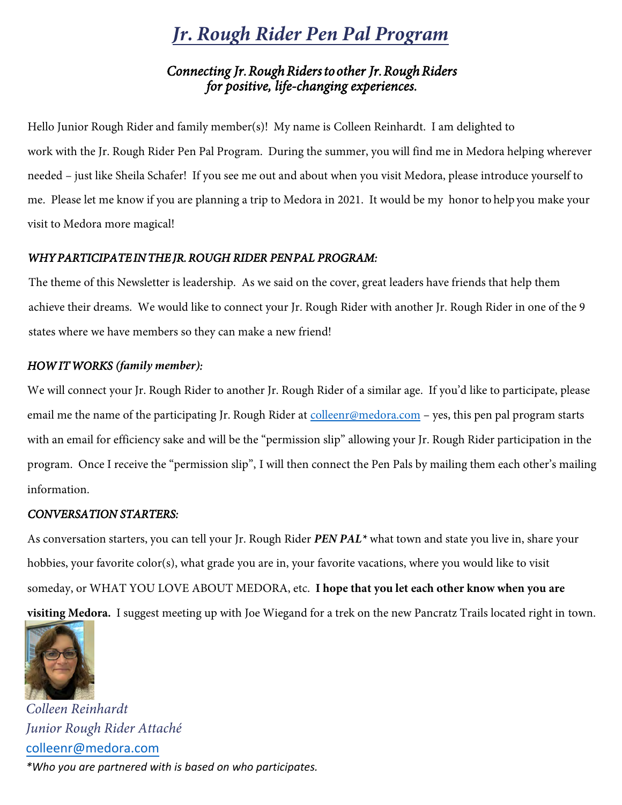## *Jr. Rough Rider Pen Pal Program*

#### *Connecting Jr. Rough Riders to other Jr. Rough Riders for positive, life-changing experiences.*

Hello Junior Rough Rider and family member(s)! My name is Colleen Reinhardt. I am delighted to work with the Jr. Rough Rider Pen Pal Program. During the summer, you will find me in Medora helping wherever needed – just like Sheila Schafer! If you see me out and about when you visit Medora, please introduce yourself to me. Please let me know if you are planning a trip to Medora in 2021. It would be my honor to help you make your visit to Medora more magical!

#### *WHY PARTICIPATE IN THE JR. ROUGH RIDER PEN PAL PROGRAM:*

The theme of this Newsletter is leadership. As we said on the cover, great leaders have friends that help them achieve their dreams. We would like to connect your Jr. Rough Rider with another Jr. Rough Rider in one of the 9 states where we have members so they can make a new friend!

#### *HOW IT WORKS (family member):*

We will connect your Jr. Rough Rider to another Jr. Rough Rider of a similar age. If you'd like to participate, please email me the name of the participating Jr. Rough Rider at colleenr@medora.com – yes, this pen pal program starts with an email for efficiency sake and will be the "permission slip" a[llowing your Jr. Rough R](mailto:colleenr@medora.com)ider participation in the program. Once I receive the "permission slip", I will then connect the Pen Pals by mailing them each other's mailing information.

#### *CONVERSATION STARTERS:*

As conversation starters, you can tell your Jr. Rough Rider *PEN PAL\** what town and state you live in, share your hobbies, your favorite color(s), what grade you are in, your favorite vacations, where you would like to visit someday, or WHAT YOU LOVE ABOUT MEDORA, etc. **I hope that you let each other know when you are visiting Medora.** I suggest meeting up with Joe Wiegand for a trek on the new Pancratz Trails located right in town.



*Colleen Reinhardt Junior Rough Rider Attaché*  c[olleenr@medora.com](mailto:colleenr@medora.com) *\*Who you are partnered with is based on who participates.*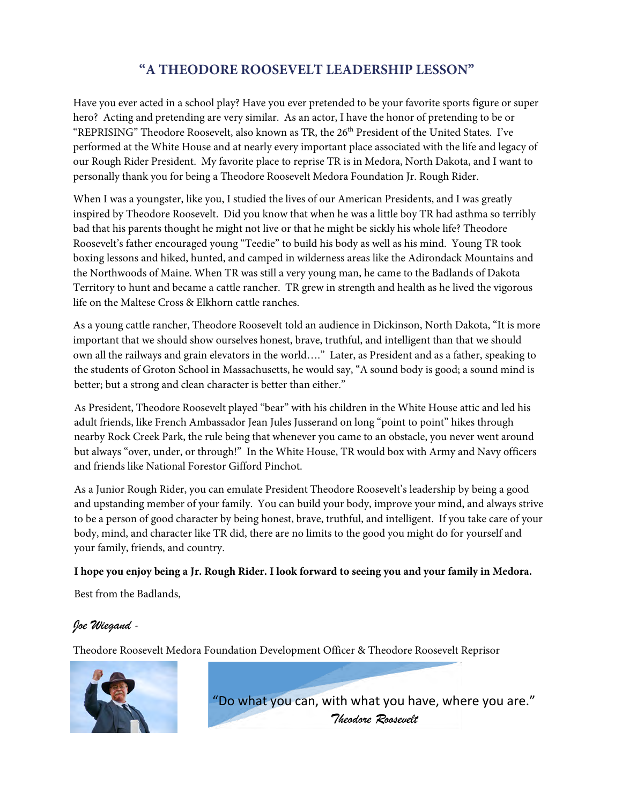### **"A THEODORE ROOSEVELT LEADERSHIP LESSON"**

Have you ever acted in a school play? Have you ever pretended to be your favorite sports figure or super hero? Acting and pretending are very similar. As an actor, I have the honor of pretending to be or "REPRISING" Theodore Roosevelt, also known as TR, the 26<sup>th</sup> President of the United States. I've performed at the White House and at nearly every important place associated with the life and legacy of our Rough Rider President. My favorite place to reprise TR is in Medora, North Dakota, and I want to personally thank you for being a Theodore Roosevelt Medora Foundation Jr. Rough Rider.

When I was a youngster, like you, I studied the lives of our American Presidents, and I was greatly inspired by Theodore Roosevelt. Did you know that when he was a little boy TR had asthma so terribly bad that his parents thought he might not live or that he might be sickly his whole life? Theodore Roosevelt's father encouraged young "Teedie" to build his body as well as his mind. Young TR took boxing lessons and hiked, hunted, and camped in wilderness areas like the Adirondack Mountains and the Northwoods of Maine. When TR was still a very young man, he came to the Badlands of Dakota Territory to hunt and became a cattle rancher. TR grew in strength and health as he lived the vigorous life on the Maltese Cross & Elkhorn cattle ranches.

As a young cattle rancher, Theodore Roosevelt told an audience in Dickinson, North Dakota, "It is more important that we should show ourselves honest, brave, truthful, and intelligent than that we should own all the railways and grain elevators in the world…." Later, as President and as a father, speaking to the students of Groton School in Massachusetts, he would say, "A sound body is good; a sound mind is better; but a strong and clean character is better than either."

As President, Theodore Roosevelt played "bear" with his children in the White House attic and led his adult friends, like French Ambassador Jean Jules Jusserand on long "point to point" hikes through nearby Rock Creek Park, the rule being that whenever you came to an obstacle, you never went around but always "over, under, or through!" In the White House, TR would box with Army and Navy officers and friends like National Forestor Gifford Pinchot.

As a Junior Rough Rider, you can emulate President Theodore Roosevelt's leadership by being a good and upstanding member of your family. You can build your body, improve your mind, and always strive to be a person of good character by being honest, brave, truthful, and intelligent. If you take care of your body, mind, and character like TR did, there are no limits to the good you might do for yourself and your family, friends, and country.

#### **I hope you enjoy being a Jr. Rough Rider. I look forward to seeing you and your family in Medora.**

Best from the Badlands,

#### *Joe Wiegand -*

Theodore Roosevelt Medora Foundation Development Officer & Theodore Roosevelt Reprisor